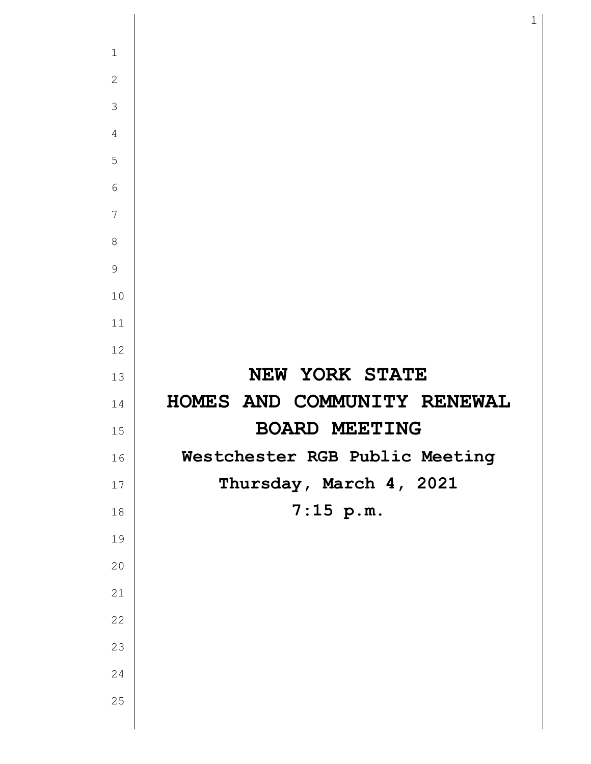| $\mathbf{1}$   |                                |
|----------------|--------------------------------|
| $\mathbf{2}$   |                                |
| 3              |                                |
| $\overline{4}$ |                                |
| 5              |                                |
| 6              |                                |
| $\overline{7}$ |                                |
| 8              |                                |
| 9              |                                |
| 10             |                                |
| 11             |                                |
| 12             |                                |
| 13             | NEW YORK STATE                 |
|                |                                |
| 14             | HOMES AND COMMUNITY RENEWAL    |
| 15             | <b>BOARD MEETING</b>           |
| 16             | Westchester RGB Public Meeting |
| 17             | Thursday, March 4, 2021        |
| 18             | $7:15$ p.m.                    |
| 19             |                                |
| 20             |                                |
| 21             |                                |
| 22             |                                |
| 23             |                                |
| 24             |                                |
| 25             |                                |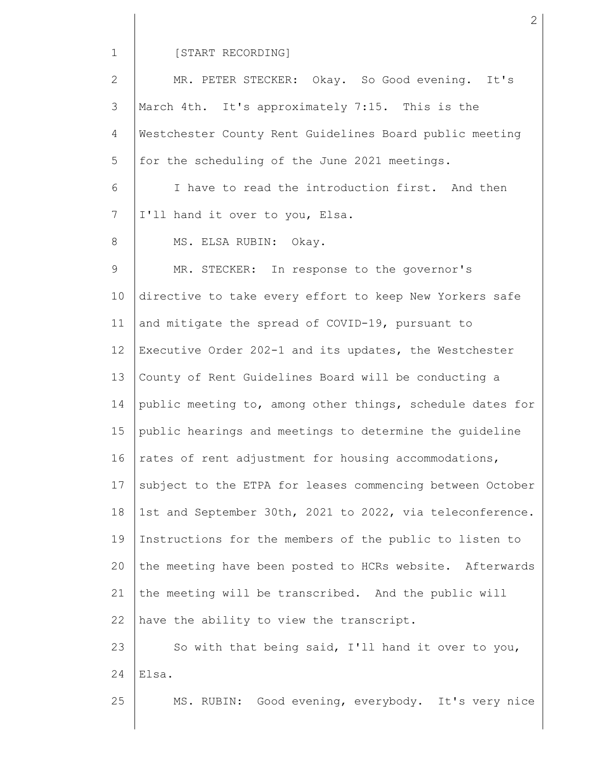#### [START RECORDING]

2 3 4 5 6 7 8 9 10 11 12 13 14 15 16 17 18 19 20 21 22 23 24 25 MR. PETER STECKER: Okay. So Good evening. It's March 4th. It's approximately 7:15. This is the Westchester County Rent Guidelines Board public meeting for the scheduling of the June 2021 meetings. I have to read the introduction first. And then I'll hand it over to you, Elsa. MS. ELSA RUBIN: Okay. MR. STECKER: In response to the governor's directive to take every effort to keep New Yorkers safe and mitigate the spread of COVID-19, pursuant to Executive Order 202-1 and its updates, the Westchester County of Rent Guidelines Board will be conducting a public meeting to, among other things, schedule dates for public hearings and meetings to determine the guideline rates of rent adjustment for housing accommodations, subject to the ETPA for leases commencing between October 1st and September 30th, 2021 to 2022, via teleconference. Instructions for the members of the public to listen to the meeting have been posted to HCRs website. Afterwards the meeting will be transcribed. And the public will have the ability to view the transcript. So with that being said, I'll hand it over to you, Elsa. MS. RUBIN: Good evening, everybody. It's very nice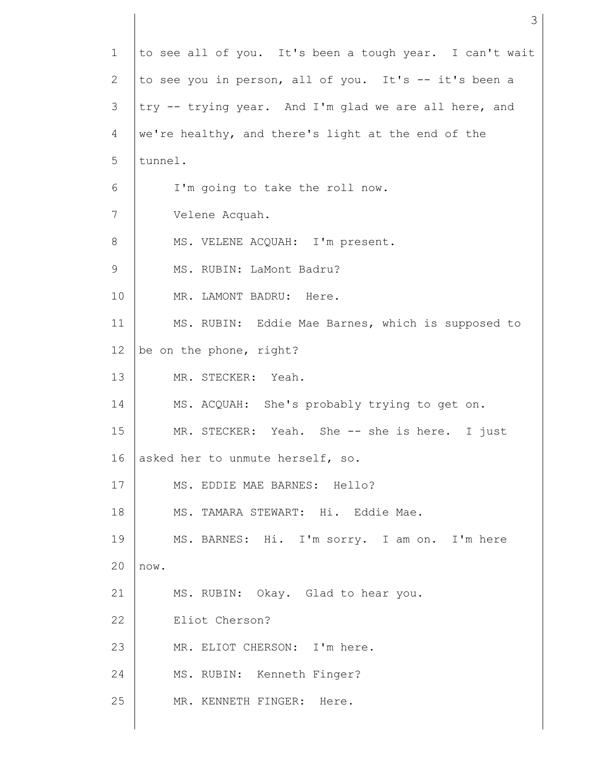| $\mathbf 1$ | to see all of you. It's been a tough year. I can't wait |  |  |  |  |  |  |
|-------------|---------------------------------------------------------|--|--|--|--|--|--|
| 2           | to see you in person, all of you. It's -- it's been a   |  |  |  |  |  |  |
| 3           | try -- trying year. And I'm glad we are all here, and   |  |  |  |  |  |  |
| 4           | we're healthy, and there's light at the end of the      |  |  |  |  |  |  |
| 5           | tunnel.                                                 |  |  |  |  |  |  |
| 6           | I'm going to take the roll now.                         |  |  |  |  |  |  |
| 7           | Velene Acquah.                                          |  |  |  |  |  |  |
| 8           | MS. VELENE ACQUAH: I'm present.                         |  |  |  |  |  |  |
| 9           | MS. RUBIN: LaMont Badru?                                |  |  |  |  |  |  |
| 10          | MR. LAMONT BADRU: Here.                                 |  |  |  |  |  |  |
| 11          | MS. RUBIN: Eddie Mae Barnes, which is supposed to       |  |  |  |  |  |  |
| 12          | be on the phone, right?                                 |  |  |  |  |  |  |
| 13          | MR. STECKER: Yeah.                                      |  |  |  |  |  |  |
| 14          | MS. ACQUAH: She's probably trying to get on.            |  |  |  |  |  |  |
| 15          | MR. STECKER: Yeah. She -- she is here. I just           |  |  |  |  |  |  |
| 16          | asked her to unmute herself, so.                        |  |  |  |  |  |  |
| 17          | MS. EDDIE MAE BARNES: Hello?                            |  |  |  |  |  |  |
| 18          | MS. TAMARA STEWART: Hi. Eddie Mae.                      |  |  |  |  |  |  |
| 19          | MS. BARNES: Hi. I'm sorry. I am on. I'm here            |  |  |  |  |  |  |
| 20          | now.                                                    |  |  |  |  |  |  |
| 21          | MS. RUBIN: Okay. Glad to hear you.                      |  |  |  |  |  |  |
| 22          | Eliot Cherson?                                          |  |  |  |  |  |  |
| 23          | MR. ELIOT CHERSON: I'm here.                            |  |  |  |  |  |  |
| 24          | MS. RUBIN: Kenneth Finger?                              |  |  |  |  |  |  |
| 25          | MR. KENNETH FINGER: Here.                               |  |  |  |  |  |  |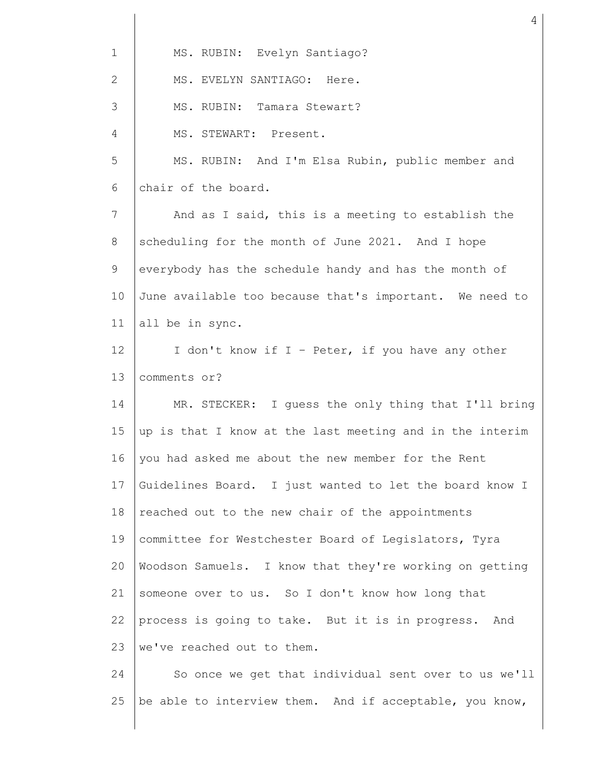| $\mathbf 1$     | MS. RUBIN: Evelyn Santiago?                              |  |  |  |  |  |  |
|-----------------|----------------------------------------------------------|--|--|--|--|--|--|
| $\overline{2}$  | MS. EVELYN SANTIAGO: Here.                               |  |  |  |  |  |  |
| 3               | MS. RUBIN: Tamara Stewart?                               |  |  |  |  |  |  |
| 4               | MS. STEWART: Present.                                    |  |  |  |  |  |  |
| 5               | MS. RUBIN: And I'm Elsa Rubin, public member and         |  |  |  |  |  |  |
| 6               | chair of the board.                                      |  |  |  |  |  |  |
| 7               | And as I said, this is a meeting to establish the        |  |  |  |  |  |  |
| 8               | scheduling for the month of June 2021. And I hope        |  |  |  |  |  |  |
| 9               | everybody has the schedule handy and has the month of    |  |  |  |  |  |  |
| 10              | June available too because that's important. We need to  |  |  |  |  |  |  |
| 11              | all be in sync.                                          |  |  |  |  |  |  |
| 12 <sup>°</sup> | I don't know if I - Peter, if you have any other         |  |  |  |  |  |  |
| 13              | comments or?                                             |  |  |  |  |  |  |
| 14              | MR. STECKER: I guess the only thing that I'll bring      |  |  |  |  |  |  |
| 15              | up is that I know at the last meeting and in the interim |  |  |  |  |  |  |
| 16              | you had asked me about the new member for the Rent       |  |  |  |  |  |  |
| 17              | Guidelines Board. I just wanted to let the board know I  |  |  |  |  |  |  |
| 18              | reached out to the new chair of the appointments         |  |  |  |  |  |  |
| 19              | committee for Westchester Board of Legislators, Tyra     |  |  |  |  |  |  |
| 20              | Woodson Samuels. I know that they're working on getting  |  |  |  |  |  |  |
| 21              | someone over to us. So I don't know how long that        |  |  |  |  |  |  |
| 22              | process is going to take. But it is in progress. And     |  |  |  |  |  |  |
| 23              | we've reached out to them.                               |  |  |  |  |  |  |
| 24              | So once we get that individual sent over to us we'll     |  |  |  |  |  |  |

25 |be able to interview them. And if acceptable, you know,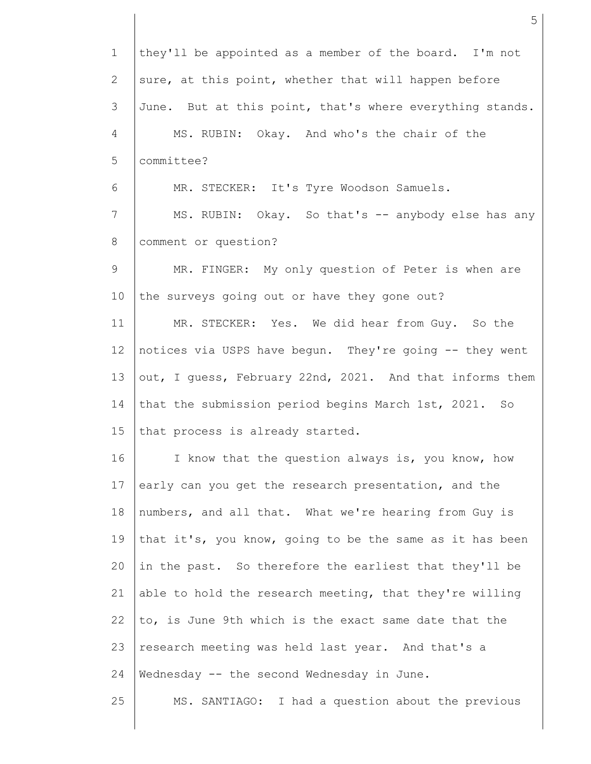1 2 3 4 5 6 7 8 9 10 11 12 13 14 15 16 17 18 19 20 21 22 23 24 25 they'll be appointed as a member of the board. I'm not sure, at this point, whether that will happen before June. But at this point, that's where everything stands. MS. RUBIN: Okay. And who's the chair of the committee? MR. STECKER: It's Tyre Woodson Samuels. MS. RUBIN: Okay. So that's -- anybody else has any comment or question? MR. FINGER: My only question of Peter is when are the surveys going out or have they gone out? MR. STECKER: Yes. We did hear from Guy. So the notices via USPS have begun. They're going -- they went out, I guess, February 22nd, 2021. And that informs them that the submission period begins March 1st, 2021. So that process is already started. I know that the question always is, you know, how early can you get the research presentation, and the numbers, and all that. What we're hearing from Guy is that it's, you know, going to be the same as it has been in the past. So therefore the earliest that they'll be able to hold the research meeting, that they're willing to, is June 9th which is the exact same date that the research meeting was held last year. And that's a Wednesday -- the second Wednesday in June. MS. SANTIAGO: I had a question about the previous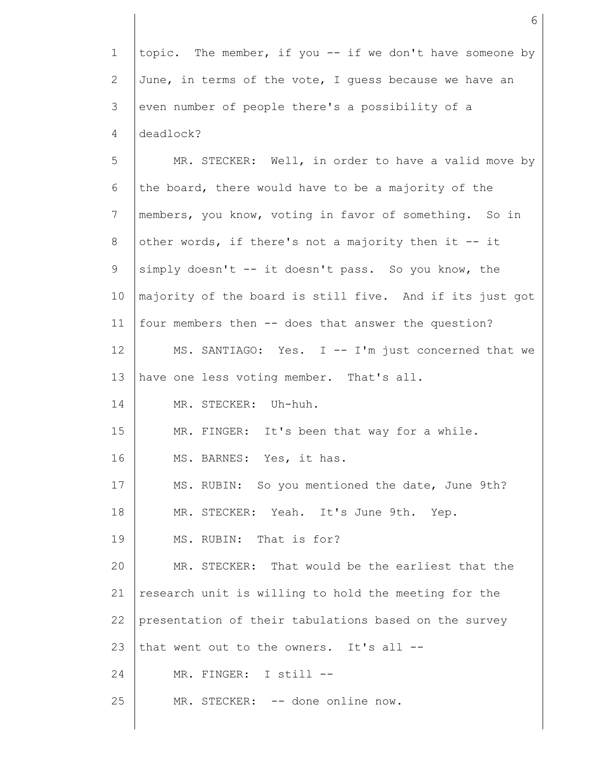1 2 3 4 topic. The member, if you -- if we don't have someone by June, in terms of the vote, I guess because we have an even number of people there's a possibility of a deadlock?

5 6 7 8 9 10 11 12 13 14 15 16 17 18 19 20 21 22 23 24 25 MR. STECKER: Well, in order to have a valid move by the board, there would have to be a majority of the members, you know, voting in favor of something. So in other words, if there's not a majority then it -- it simply doesn't -- it doesn't pass. So you know, the majority of the board is still five. And if its just got four members then -- does that answer the question? MS. SANTIAGO: Yes. I -- I'm just concerned that we have one less voting member. That's all. MR. STECKER: Uh-huh. MR. FINGER: It's been that way for a while. MS. BARNES: Yes, it has. MS. RUBIN: So you mentioned the date, June 9th? MR. STECKER: Yeah. It's June 9th. Yep. MS. RUBIN: That is for? MR. STECKER: That would be the earliest that the research unit is willing to hold the meeting for the presentation of their tabulations based on the survey that went out to the owners. It's all -- MR. FINGER: I still -- MR. STECKER: -- done online now.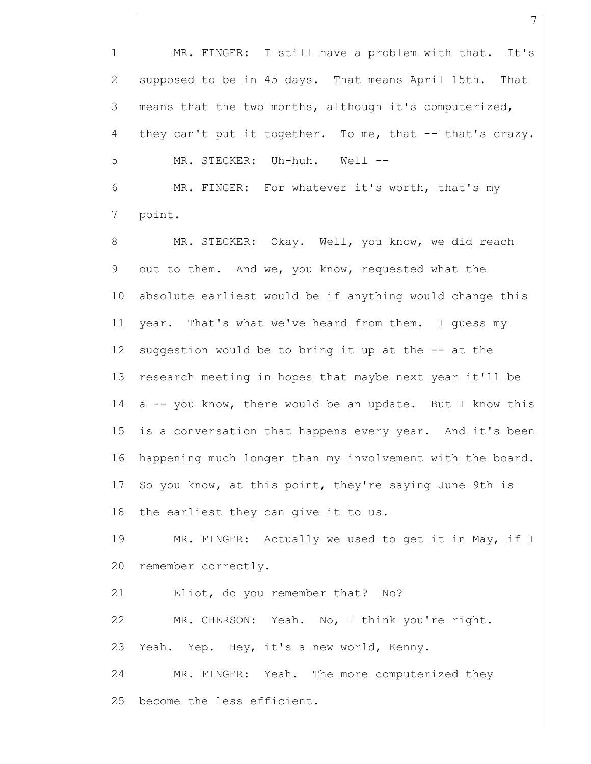1 2 3 4 5 6 7 8 9 10 11 12 13 14 15 16 17 18 19 20 21 22 23 24 25 MR. FINGER: I still have a problem with that. It's supposed to be in 45 days. That means April 15th. That means that the two months, although it's computerized, they can't put it together. To me, that -- that's crazy. MR. STECKER: Uh-huh. Well -- MR. FINGER: For whatever it's worth, that's my point. MR. STECKER: Okay. Well, you know, we did reach out to them. And we, you know, requested what the absolute earliest would be if anything would change this year. That's what we've heard from them. I guess my suggestion would be to bring it up at the -- at the research meeting in hopes that maybe next year it'll be a -- you know, there would be an update. But I know this is a conversation that happens every year. And it's been happening much longer than my involvement with the board. So you know, at this point, they're saying June 9th is the earliest they can give it to us. MR. FINGER: Actually we used to get it in May, if I remember correctly. Eliot, do you remember that? No? MR. CHERSON: Yeah. No, I think you're right. Yeah. Yep. Hey, it's a new world, Kenny. MR. FINGER: Yeah. The more computerized they become the less efficient.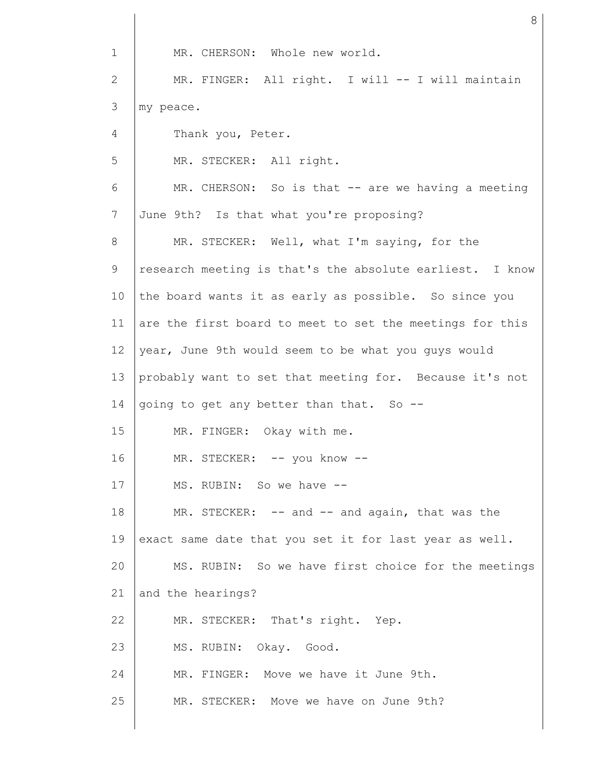1 2 3 4 5 6 7 8 9 10 11 12 13 14 15 16 17 18 19 20 21 22 23 24 25 MR. CHERSON: Whole new world. MR. FINGER: All right. I will -- I will maintain my peace. Thank you, Peter. MR. STECKER: All right. MR. CHERSON: So is that -- are we having a meeting June 9th? Is that what you're proposing? MR. STECKER: Well, what I'm saying, for the research meeting is that's the absolute earliest. I know the board wants it as early as possible. So since you are the first board to meet to set the meetings for this year, June 9th would seem to be what you guys would probably want to set that meeting for. Because it's not going to get any better than that. So -- MR. FINGER: Okay with me. MR. STECKER: -- you know -- MS. RUBIN: So we have -- MR. STECKER: -- and -- and again, that was the exact same date that you set it for last year as well. MS. RUBIN: So we have first choice for the meetings and the hearings? MR. STECKER: That's right. Yep. MS. RUBIN: Okay. Good. MR. FINGER: Move we have it June 9th. MR. STECKER: Move we have on June 9th?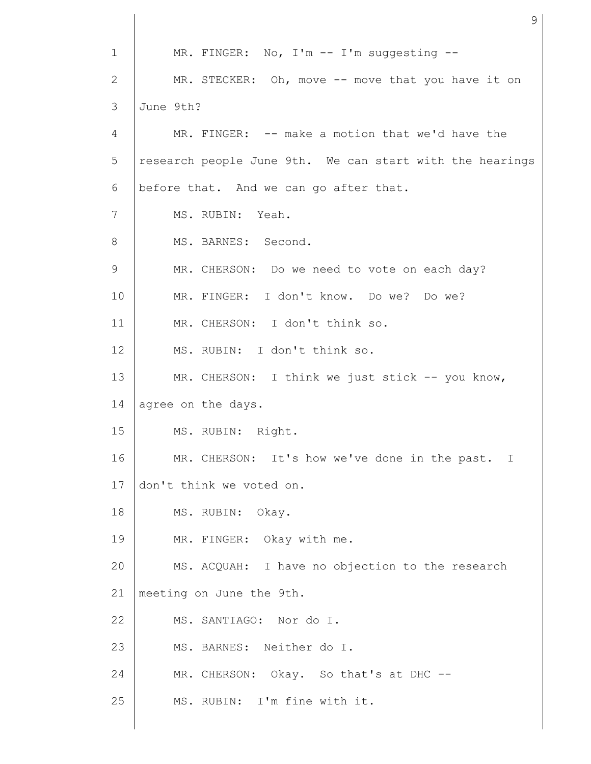1 2 3 4 5 6 7 8 9 10 11 12 13 14 15 16 17 18 19 20 21 22 23 24 25 MR. FINGER: No, I'm -- I'm suggesting -- MR. STECKER: Oh, move -- move that you have it on June 9th? MR. FINGER: -- make a motion that we'd have the research people June 9th. We can start with the hearings before that. And we can go after that. MS. RUBIN: Yeah. MS. BARNES: Second. MR. CHERSON: Do we need to vote on each day? MR. FINGER: I don't know. Do we? Do we? MR. CHERSON: I don't think so. MS. RUBIN: I don't think so. MR. CHERSON: I think we just stick -- you know, agree on the days. MS. RUBIN: Right. MR. CHERSON: It's how we've done in the past. I don't think we voted on. MS. RUBIN: Okay. MR. FINGER: Okay with me. MS. ACQUAH: I have no objection to the research meeting on June the 9th. MS. SANTIAGO: Nor do I. MS. BARNES: Neither do I. MR. CHERSON: Okay. So that's at DHC --MS. RUBIN: I'm fine with it.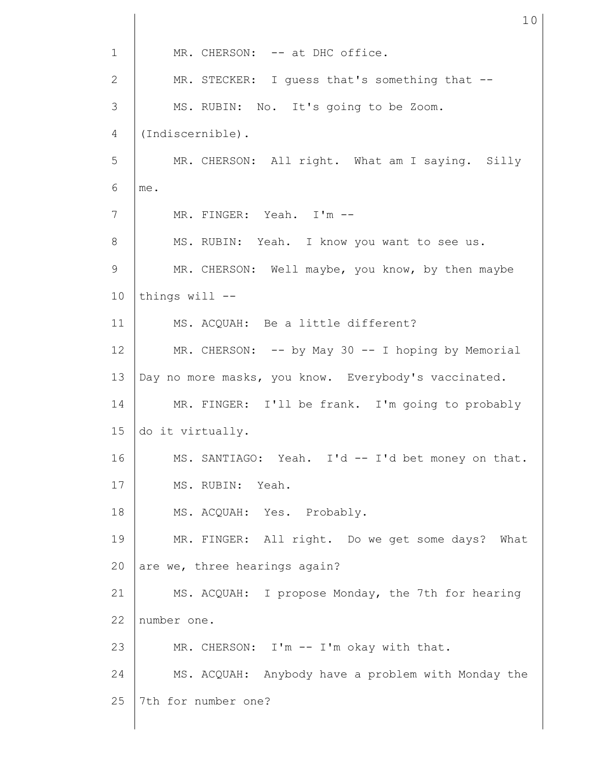1 2 3 4 5 6 7 8 9 10 11 12 13 14 15 16 17 18 19 20 21 22 23 24 25 MR. CHERSON: -- at DHC office. MR. STECKER: I guess that's something that --MS. RUBIN: No. It's going to be Zoom. (Indiscernible). MR. CHERSON: All right. What am I saying. Silly me. MR. FINGER: Yeah. I'm -- MS. RUBIN: Yeah. I know you want to see us. MR. CHERSON: Well maybe, you know, by then maybe things will -- MS. ACQUAH: Be a little different? MR. CHERSON: -- by May 30 -- I hoping by Memorial Day no more masks, you know. Everybody's vaccinated. MR. FINGER: I'll be frank. I'm going to probably do it virtually. MS. SANTIAGO: Yeah. I'd -- I'd bet money on that. MS. RUBIN: Yeah. MS. ACQUAH: Yes. Probably. MR. FINGER: All right. Do we get some days? What are we, three hearings again? MS. ACQUAH: I propose Monday, the 7th for hearing number one. MR. CHERSON: I'm -- I'm okay with that. MS. ACQUAH: Anybody have a problem with Monday the 7th for number one?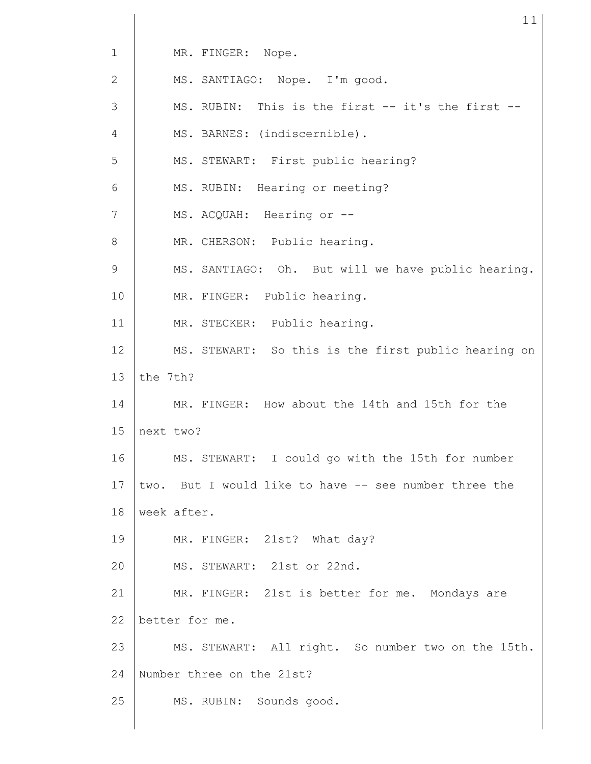| $\mathbf{1}$ | MR. FINGER: Nope.                                     |  |  |  |  |  |
|--------------|-------------------------------------------------------|--|--|--|--|--|
| 2            | MS. SANTIAGO: Nope. I'm good.                         |  |  |  |  |  |
| 3            | MS. RUBIN: This is the first -- it's the first --     |  |  |  |  |  |
| 4            | MS. BARNES: (indiscernible).                          |  |  |  |  |  |
| 5            | MS. STEWART: First public hearing?                    |  |  |  |  |  |
| 6            | MS. RUBIN: Hearing or meeting?                        |  |  |  |  |  |
| 7            | MS. ACQUAH: Hearing or --                             |  |  |  |  |  |
| 8            | MR. CHERSON: Public hearing.                          |  |  |  |  |  |
| 9            | MS. SANTIAGO: Oh. But will we have public hearing.    |  |  |  |  |  |
| 10           | MR. FINGER: Public hearing.                           |  |  |  |  |  |
| 11           | MR. STECKER: Public hearing.                          |  |  |  |  |  |
| 12           | MS. STEWART: So this is the first public hearing on   |  |  |  |  |  |
| 13           | the 7th?                                              |  |  |  |  |  |
| 14           | MR. FINGER: How about the 14th and 15th for the       |  |  |  |  |  |
| 15           | next two?                                             |  |  |  |  |  |
| 16           | MS. STEWART: I could go with the 15th for number      |  |  |  |  |  |
| 17           | two. But I would like to have -- see number three the |  |  |  |  |  |
| 18           | week after.                                           |  |  |  |  |  |
| 19           | MR. FINGER: 21st? What day?                           |  |  |  |  |  |
| 20           | MS. STEWART: 21st or 22nd.                            |  |  |  |  |  |
| 21           | MR. FINGER: 21st is better for me. Mondays are        |  |  |  |  |  |
| 22           | better for me.                                        |  |  |  |  |  |
| 23           | MS. STEWART: All right. So number two on the 15th.    |  |  |  |  |  |
| 24           | Number three on the 21st?                             |  |  |  |  |  |
| 25           | MS. RUBIN: Sounds good.                               |  |  |  |  |  |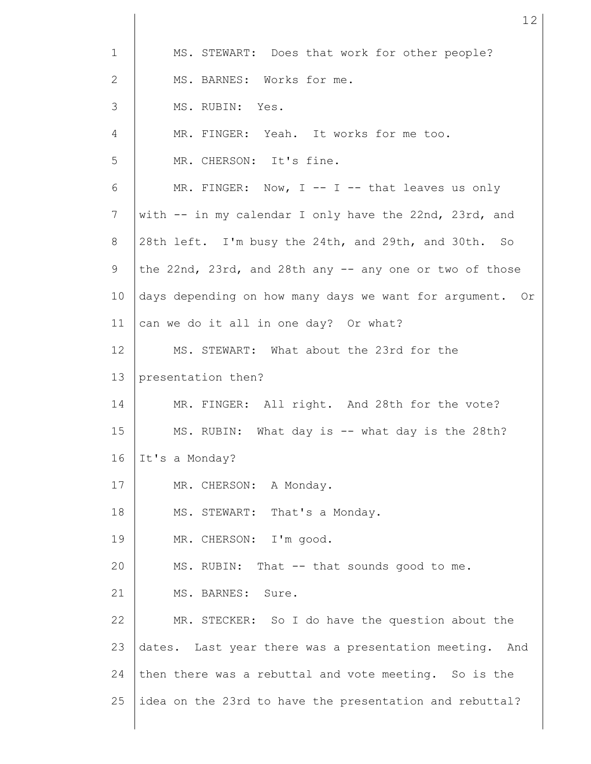| $\mathbf{1}$ | MS. STEWART: Does that work for other people?            |  |  |  |  |  |  |
|--------------|----------------------------------------------------------|--|--|--|--|--|--|
| 2            | MS. BARNES: Works for me.                                |  |  |  |  |  |  |
| 3            | MS. RUBIN: Yes.                                          |  |  |  |  |  |  |
| 4            | MR. FINGER: Yeah. It works for me too.                   |  |  |  |  |  |  |
| 5            | MR. CHERSON: It's fine.                                  |  |  |  |  |  |  |
| 6            | MR. FINGER: Now, I -- I -- that leaves us only           |  |  |  |  |  |  |
| 7            | with -- in my calendar I only have the 22nd, 23rd, and   |  |  |  |  |  |  |
| 8            | 28th left. I'm busy the 24th, and 29th, and 30th. So     |  |  |  |  |  |  |
| 9            | the 22nd, 23rd, and 28th any -- any one or two of those  |  |  |  |  |  |  |
| 10           | days depending on how many days we want for argument. Or |  |  |  |  |  |  |
| 11           | can we do it all in one day? Or what?                    |  |  |  |  |  |  |
| 12           | MS. STEWART: What about the 23rd for the                 |  |  |  |  |  |  |
| 13           | presentation then?                                       |  |  |  |  |  |  |
| 14           | MR. FINGER: All right. And 28th for the vote?            |  |  |  |  |  |  |
| 15           | MS. RUBIN: What day is -- what day is the 28th?          |  |  |  |  |  |  |
| 16           | It's a Monday?                                           |  |  |  |  |  |  |
| 17           | MR. CHERSON: A Monday.                                   |  |  |  |  |  |  |
| 18           | MS. STEWART:<br>That's a Monday.                         |  |  |  |  |  |  |
| 19           | MR. CHERSON: I'm good.                                   |  |  |  |  |  |  |
| 20           | MS. RUBIN: That -- that sounds good to me.               |  |  |  |  |  |  |
| 21           | MS. BARNES:<br>Sure.                                     |  |  |  |  |  |  |
| 22           | MR. STECKER: So I do have the question about the         |  |  |  |  |  |  |
| 23           | dates. Last year there was a presentation meeting. And   |  |  |  |  |  |  |
| 24           | then there was a rebuttal and vote meeting. So is the    |  |  |  |  |  |  |
| 25           | idea on the 23rd to have the presentation and rebuttal?  |  |  |  |  |  |  |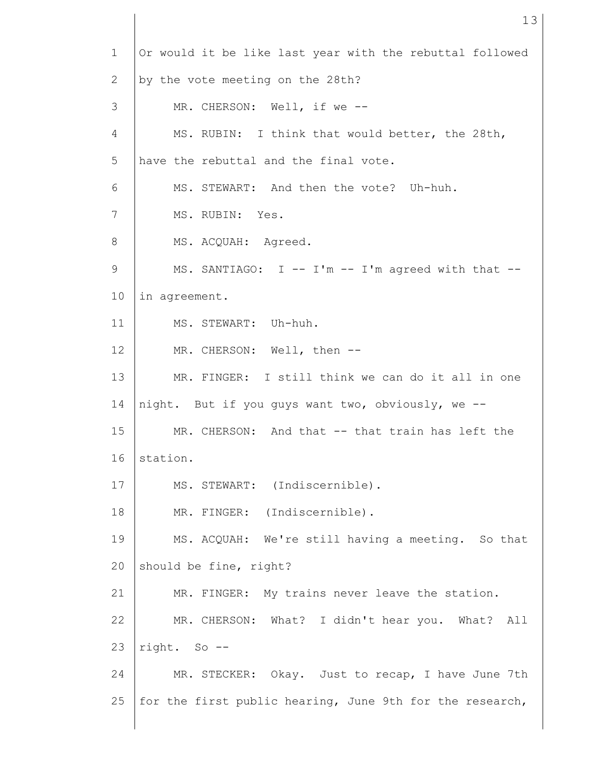| $\mathbf{1}$ | Or would it be like last year with the rebuttal followed |  |  |  |  |  |  |
|--------------|----------------------------------------------------------|--|--|--|--|--|--|
| 2            | by the vote meeting on the 28th?                         |  |  |  |  |  |  |
| 3            | MR. CHERSON: Well, if we --                              |  |  |  |  |  |  |
| 4            | MS. RUBIN: I think that would better, the 28th,          |  |  |  |  |  |  |
| 5            | have the rebuttal and the final vote.                    |  |  |  |  |  |  |
| 6            | MS. STEWART: And then the vote? Uh-huh.                  |  |  |  |  |  |  |
| 7            | MS. RUBIN: Yes.                                          |  |  |  |  |  |  |
| 8            | MS. ACQUAH: Agreed.                                      |  |  |  |  |  |  |
| $\mathsf 9$  | MS. SANTIAGO: I -- I'm -- I'm agreed with that --        |  |  |  |  |  |  |
| 10           | in agreement.                                            |  |  |  |  |  |  |
| 11           | MS. STEWART: Uh-huh.                                     |  |  |  |  |  |  |
| 12           | MR. CHERSON: Well, then --                               |  |  |  |  |  |  |
| 13           | MR. FINGER: I still think we can do it all in one        |  |  |  |  |  |  |
| 14           | night. But if you guys want two, obviously, we --        |  |  |  |  |  |  |
| 15           | MR. CHERSON: And that -- that train has left the         |  |  |  |  |  |  |
| 16           | station.                                                 |  |  |  |  |  |  |
| 17           | MS. STEWART: (Indiscernible).                            |  |  |  |  |  |  |
| 18           | MR. FINGER: (Indiscernible).                             |  |  |  |  |  |  |
| 19           | MS. ACQUAH: We're still having a meeting. So that        |  |  |  |  |  |  |
| 20           | should be fine, right?                                   |  |  |  |  |  |  |
| 21           | MR. FINGER: My trains never leave the station.           |  |  |  |  |  |  |
| 22           | MR. CHERSON: What? I didn't hear you. What? All          |  |  |  |  |  |  |
| 23           | right. So --                                             |  |  |  |  |  |  |
| 24           | MR. STECKER: Okay. Just to recap, I have June 7th        |  |  |  |  |  |  |
| 25           | for the first public hearing, June 9th for the research, |  |  |  |  |  |  |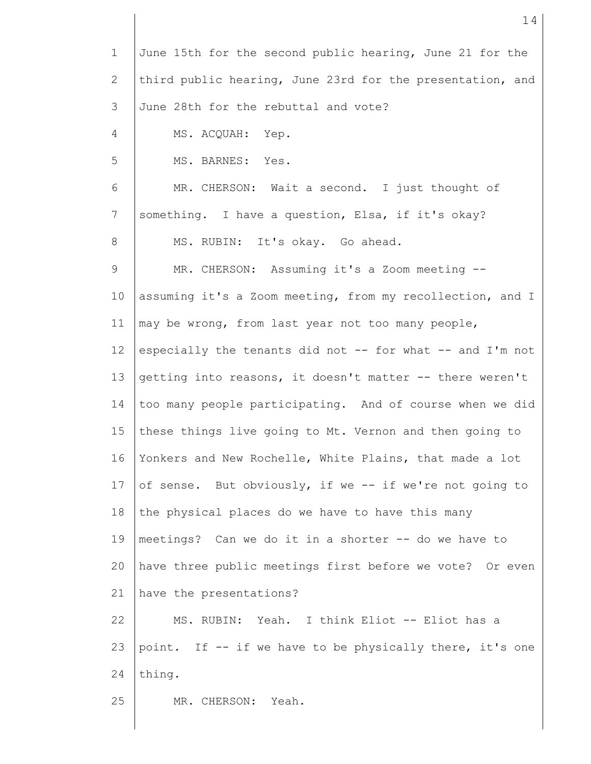| $\mathbf 1$  | June 15th for the second public hearing, June 21 for the  |  |  |  |  |  |
|--------------|-----------------------------------------------------------|--|--|--|--|--|
| $\mathbf{2}$ | third public hearing, June 23rd for the presentation, and |  |  |  |  |  |
| 3            | June 28th for the rebuttal and vote?                      |  |  |  |  |  |
| 4            | MS. ACQUAH:<br>Yep.                                       |  |  |  |  |  |
| 5            | MS. BARNES: Yes.                                          |  |  |  |  |  |
| 6            | MR. CHERSON: Wait a second. I just thought of             |  |  |  |  |  |
| 7            | something. I have a question, Elsa, if it's okay?         |  |  |  |  |  |
| 8            | MS. RUBIN: It's okay. Go ahead.                           |  |  |  |  |  |
| 9            | MR. CHERSON: Assuming it's a Zoom meeting --              |  |  |  |  |  |
| 10           | assuming it's a Zoom meeting, from my recollection, and I |  |  |  |  |  |
| 11           | may be wrong, from last year not too many people,         |  |  |  |  |  |
| 12           | especially the tenants did not -- for what -- and I'm not |  |  |  |  |  |
| 13           | getting into reasons, it doesn't matter -- there weren't  |  |  |  |  |  |
| 14           | too many people participating. And of course when we did  |  |  |  |  |  |
| 15           | these things live going to Mt. Vernon and then going to   |  |  |  |  |  |
| 16           | Yonkers and New Rochelle, White Plains, that made a lot   |  |  |  |  |  |
| 17           | of sense. But obviously, if we -- if we're not going to   |  |  |  |  |  |
| 18           | the physical places do we have to have this many          |  |  |  |  |  |
| 19           | meetings? Can we do it in a shorter -- do we have to      |  |  |  |  |  |
| 20           | have three public meetings first before we vote? Or even  |  |  |  |  |  |
| 21           | have the presentations?                                   |  |  |  |  |  |
| 22           | MS. RUBIN: Yeah. I think Eliot -- Eliot has a             |  |  |  |  |  |
| 23           | point. If -- if we have to be physically there, it's one  |  |  |  |  |  |
| 24           | thing.                                                    |  |  |  |  |  |
| 25           | MR. CHERSON: Yeah.                                        |  |  |  |  |  |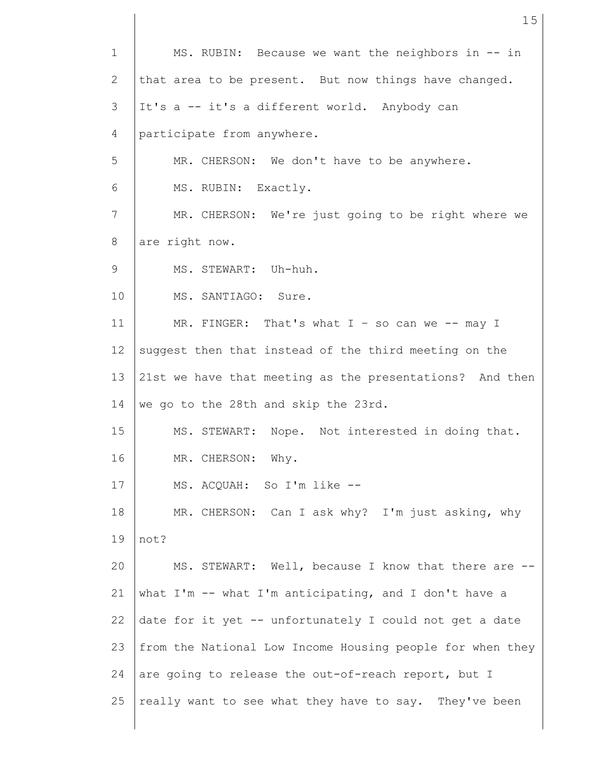1 2 3 4 5 6 7 8 9 10 11 12 13 14 15 16 17 18 19 20 21 22 23 24 25 MS. RUBIN: Because we want the neighbors in -- in that area to be present. But now things have changed. It's a -- it's a different world. Anybody can participate from anywhere. MR. CHERSON: We don't have to be anywhere. MS. RUBIN: Exactly. MR. CHERSON: We're just going to be right where we are right now. MS. STEWART: Uh-huh. MS. SANTIAGO: Sure. MR. FINGER: That's what  $I - so can we -- may I$ suggest then that instead of the third meeting on the 21st we have that meeting as the presentations? And then we go to the 28th and skip the 23rd. MS. STEWART: Nope. Not interested in doing that. MR. CHERSON: Why. MS. ACQUAH: So I'm like -- MR. CHERSON: Can I ask why? I'm just asking, why not? MS. STEWART: Well, because I know that there are - what I'm -- what I'm anticipating, and I don't have a date for it yet -- unfortunately I could not get a date from the National Low Income Housing people for when they are going to release the out-of-reach report, but I really want to see what they have to say. They've been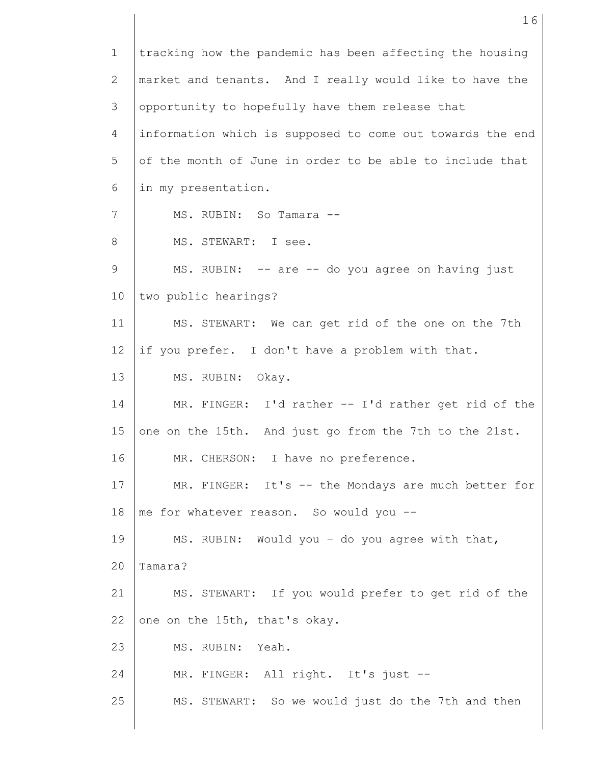1 2 3 4 5 6 7 8 9 10 11 12 13 14 15 16 17 18 19 20 21 22 23 24 25 tracking how the pandemic has been affecting the housing market and tenants. And I really would like to have the opportunity to hopefully have them release that information which is supposed to come out towards the end of the month of June in order to be able to include that in my presentation. MS. RUBIN: So Tamara -- MS. STEWART: I see. MS. RUBIN: -- are -- do you agree on having just two public hearings? MS. STEWART: We can get rid of the one on the 7th if you prefer. I don't have a problem with that. MS. RUBIN: Okay. MR. FINGER: I'd rather -- I'd rather get rid of the one on the 15th. And just go from the 7th to the 21st. MR. CHERSON: I have no preference. MR. FINGER: It's -- the Mondays are much better for me for whatever reason. So would you -- MS. RUBIN: Would you – do you agree with that, Tamara? MS. STEWART: If you would prefer to get rid of the one on the 15th, that's okay. MS. RUBIN: Yeah. MR. FINGER: All right. It's just -- MS. STEWART: So we would just do the 7th and then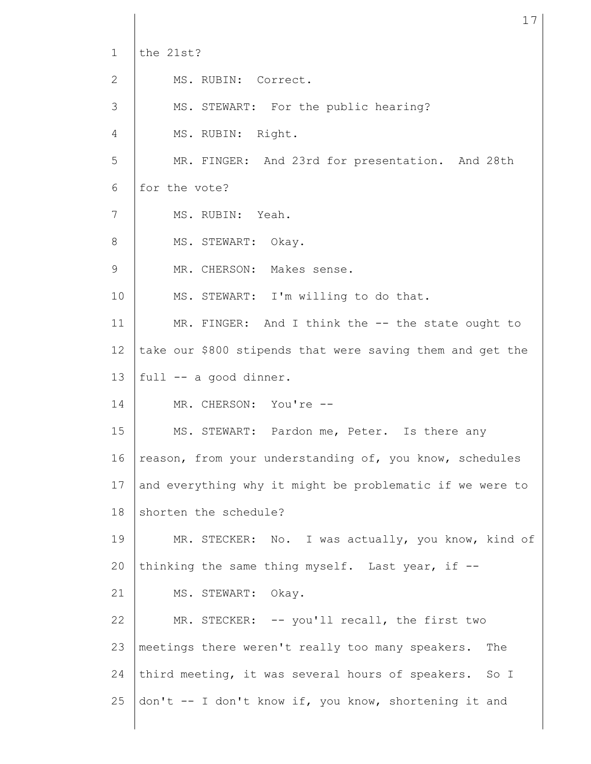1 2 3 4 5 6 7 8 9 10 11 12 13 14 15 16 17 18 19 20 21 22 23 24 25 the 21st? MS. RUBIN: Correct. MS. STEWART: For the public hearing? MS. RUBIN: Right. MR. FINGER: And 23rd for presentation. And 28th for the vote? MS. RUBIN: Yeah. MS. STEWART: Okay. MR. CHERSON: Makes sense. MS. STEWART: I'm willing to do that. MR. FINGER: And I think the -- the state ought to take our \$800 stipends that were saving them and get the full -- a good dinner. MR. CHERSON: You're --MS. STEWART: Pardon me, Peter. Is there any reason, from your understanding of, you know, schedules and everything why it might be problematic if we were to shorten the schedule? MR. STECKER: No. I was actually, you know, kind of thinking the same thing myself. Last year, if -- MS. STEWART: Okay. MR. STECKER: -- you'll recall, the first two meetings there weren't really too many speakers. The third meeting, it was several hours of speakers. So I don't -- I don't know if, you know, shortening it and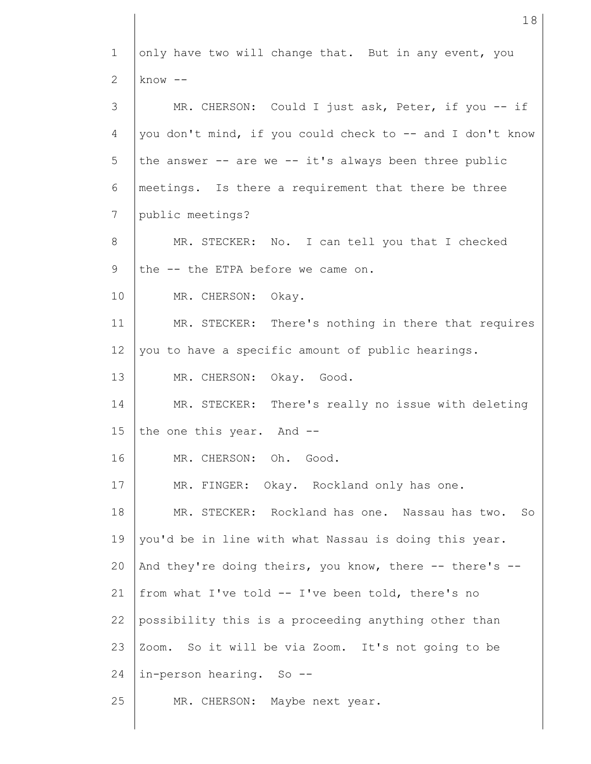1 2 3 4 5 6 7 8 9 10 11 12 13 14 15 16 17 18 19 20 21 22 23 24 25 only have two will change that. But in any event, you know -- MR. CHERSON: Could I just ask, Peter, if you -- if you don't mind, if you could check to -- and I don't know the answer  $-$  are we  $-$  it's always been three public meetings. Is there a requirement that there be three public meetings? MR. STECKER: No. I can tell you that I checked the -- the ETPA before we came on. MR. CHERSON: Okay. MR. STECKER: There's nothing in there that requires you to have a specific amount of public hearings. MR. CHERSON: Okay. Good. MR. STECKER: There's really no issue with deleting the one this year. And --MR. CHERSON: Oh. Good. MR. FINGER: Okay. Rockland only has one. MR. STECKER: Rockland has one. Nassau has two. So you'd be in line with what Nassau is doing this year. And they're doing theirs, you know, there -- there's - from what I've told -- I've been told, there's no possibility this is a proceeding anything other than Zoom. So it will be via Zoom. It's not going to be in-person hearing. So -- MR. CHERSON: Maybe next year.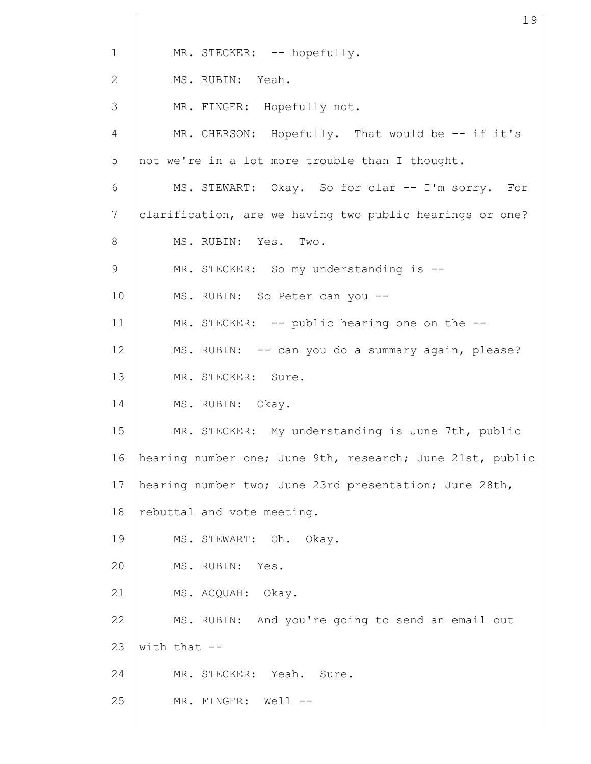| $\mathbf{1}$    | MR. STECKER: -- hopefully.                                |  |  |  |  |  |  |
|-----------------|-----------------------------------------------------------|--|--|--|--|--|--|
| 2               | MS. RUBIN: Yeah.                                          |  |  |  |  |  |  |
| 3               | MR. FINGER: Hopefully not.                                |  |  |  |  |  |  |
| 4               | MR. CHERSON: Hopefully. That would be -- if it's          |  |  |  |  |  |  |
| 5               | not we're in a lot more trouble than I thought.           |  |  |  |  |  |  |
| 6               | MS. STEWART: Okay. So for clar -- I'm sorry. For          |  |  |  |  |  |  |
| $7\phantom{.0}$ | clarification, are we having two public hearings or one?  |  |  |  |  |  |  |
| 8               | MS. RUBIN: Yes. Two.                                      |  |  |  |  |  |  |
| 9               | MR. STECKER: So my understanding is --                    |  |  |  |  |  |  |
| 10              | MS. RUBIN: So Peter can you --                            |  |  |  |  |  |  |
| 11              | MR. STECKER: -- public hearing one on the --              |  |  |  |  |  |  |
| 12              | MS. RUBIN: -- can you do a summary again, please?         |  |  |  |  |  |  |
| 13              | MR. STECKER: Sure.                                        |  |  |  |  |  |  |
| 14              | MS. RUBIN: Okay.                                          |  |  |  |  |  |  |
| 15              | MR. STECKER: My understanding is June 7th, public         |  |  |  |  |  |  |
| 16              | hearing number one; June 9th, research; June 21st, public |  |  |  |  |  |  |
| 17              | hearing number two; June 23rd presentation; June 28th,    |  |  |  |  |  |  |
| 18              | rebuttal and vote meeting.                                |  |  |  |  |  |  |
| 19              | MS. STEWART: Oh. Okay.                                    |  |  |  |  |  |  |
| 20              | MS. RUBIN: Yes.                                           |  |  |  |  |  |  |
| 21              | MS. ACQUAH: Okay.                                         |  |  |  |  |  |  |
| 22              | MS. RUBIN: And you're going to send an email out          |  |  |  |  |  |  |
| 23              | with that $-$                                             |  |  |  |  |  |  |
| 24              | MR. STECKER: Yeah. Sure.                                  |  |  |  |  |  |  |
| 25              | MR. FINGER: Well --                                       |  |  |  |  |  |  |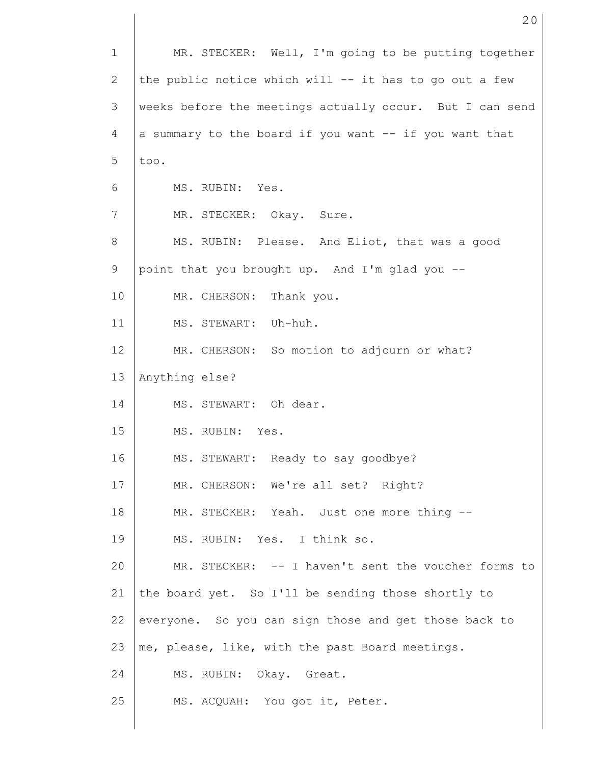| $\mathbf{1}$ | MR. STECKER: Well, I'm going to be putting together      |  |  |  |  |  |  |
|--------------|----------------------------------------------------------|--|--|--|--|--|--|
| 2            | the public notice which will -- it has to go out a few   |  |  |  |  |  |  |
| 3            | weeks before the meetings actually occur. But I can send |  |  |  |  |  |  |
| 4            | a summary to the board if you want -- if you want that   |  |  |  |  |  |  |
| 5            | too.                                                     |  |  |  |  |  |  |
| 6            | MS. RUBIN: Yes.                                          |  |  |  |  |  |  |
| 7            | MR. STECKER: Okay. Sure.                                 |  |  |  |  |  |  |
| 8            | MS. RUBIN: Please. And Eliot, that was a good            |  |  |  |  |  |  |
| 9            | point that you brought up. And I'm glad you --           |  |  |  |  |  |  |
| 10           | MR. CHERSON: Thank you.                                  |  |  |  |  |  |  |
| 11           | MS. STEWART: Uh-huh.                                     |  |  |  |  |  |  |
| 12           | MR. CHERSON: So motion to adjourn or what?               |  |  |  |  |  |  |
| 13           | Anything else?                                           |  |  |  |  |  |  |
| 14           | MS. STEWART: Oh dear.                                    |  |  |  |  |  |  |
| 15           | MS. RUBIN: Yes.                                          |  |  |  |  |  |  |
| 16           | MS. STEWART: Ready to say goodbye?                       |  |  |  |  |  |  |
| 17           | MR. CHERSON: We're all set? Right?                       |  |  |  |  |  |  |
| 18           | MR. STECKER: Yeah. Just one more thing --                |  |  |  |  |  |  |
| 19           | MS. RUBIN: Yes. I think so.                              |  |  |  |  |  |  |
| 20           | MR. STECKER: -- I haven't sent the voucher forms to      |  |  |  |  |  |  |
| 21           | the board yet. So I'll be sending those shortly to       |  |  |  |  |  |  |
| 22           | everyone. So you can sign those and get those back to    |  |  |  |  |  |  |
| 23           | me, please, like, with the past Board meetings.          |  |  |  |  |  |  |
| 24           | MS. RUBIN: Okay. Great.                                  |  |  |  |  |  |  |
| 25           | MS. ACQUAH: You got it, Peter.                           |  |  |  |  |  |  |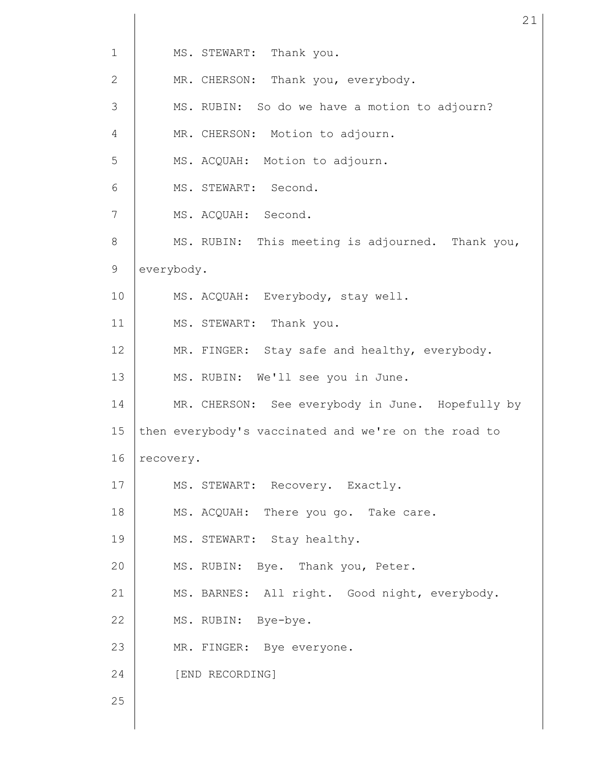| $\mathbf{1}$   | MS. STEWART: Thank you.                              |  |  |  |  |  |
|----------------|------------------------------------------------------|--|--|--|--|--|
| 2              | MR. CHERSON: Thank you, everybody.                   |  |  |  |  |  |
| 3              | MS. RUBIN: So do we have a motion to adjourn?        |  |  |  |  |  |
| 4              | MR. CHERSON: Motion to adjourn.                      |  |  |  |  |  |
| 5              | MS. ACQUAH: Motion to adjourn.                       |  |  |  |  |  |
| 6              | MS. STEWART: Second.                                 |  |  |  |  |  |
| $\overline{7}$ | MS. ACQUAH: Second.                                  |  |  |  |  |  |
| 8              | MS. RUBIN: This meeting is adjourned. Thank you,     |  |  |  |  |  |
| 9              | everybody.                                           |  |  |  |  |  |
| 10             | MS. ACQUAH: Everybody, stay well.                    |  |  |  |  |  |
| 11             | MS. STEWART: Thank you.                              |  |  |  |  |  |
| 12             | MR. FINGER: Stay safe and healthy, everybody.        |  |  |  |  |  |
| 13             | MS. RUBIN: We'll see you in June.                    |  |  |  |  |  |
| 14             | MR. CHERSON: See everybody in June. Hopefully by     |  |  |  |  |  |
| 15             | then everybody's vaccinated and we're on the road to |  |  |  |  |  |
| 16             | recovery.                                            |  |  |  |  |  |
| 17             | MS. STEWART: Recovery. Exactly.                      |  |  |  |  |  |
| 18             | MS. ACQUAH: There you go. Take care.                 |  |  |  |  |  |
| 19             | MS. STEWART: Stay healthy.                           |  |  |  |  |  |
| 20             | MS. RUBIN: Bye. Thank you, Peter.                    |  |  |  |  |  |
| 21             | MS. BARNES: All right. Good night, everybody.        |  |  |  |  |  |
| 22             | MS. RUBIN: Bye-bye.                                  |  |  |  |  |  |
| 23             | MR. FINGER: Bye everyone.                            |  |  |  |  |  |
| 24             | [END RECORDING]                                      |  |  |  |  |  |
| 25             |                                                      |  |  |  |  |  |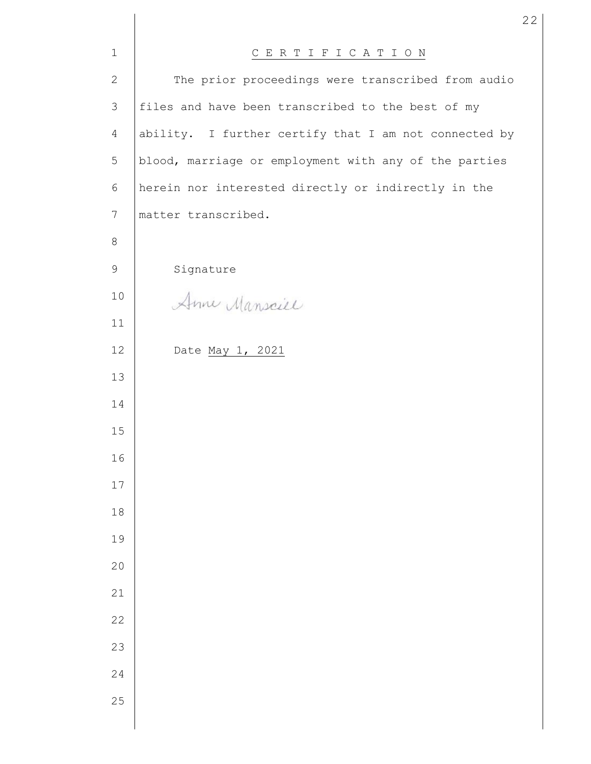| $\mathbf 1$     | CERTIFICATION                                         |  |  |  |  |
|-----------------|-------------------------------------------------------|--|--|--|--|
| $\mathbf{2}$    | The prior proceedings were transcribed from audio     |  |  |  |  |
| $\mathfrak{Z}$  | files and have been transcribed to the best of my     |  |  |  |  |
| $\overline{4}$  | ability. I further certify that I am not connected by |  |  |  |  |
| 5               | blood, marriage or employment with any of the parties |  |  |  |  |
| 6               | herein nor interested directly or indirectly in the   |  |  |  |  |
| $7\phantom{.0}$ | matter transcribed.                                   |  |  |  |  |
| $\,8\,$         |                                                       |  |  |  |  |
| 9               | Signature                                             |  |  |  |  |
| 10              | Anne Mansciel                                         |  |  |  |  |
| 11              |                                                       |  |  |  |  |
| 12              | Date May 1, 2021                                      |  |  |  |  |
| 13              |                                                       |  |  |  |  |
| 14              |                                                       |  |  |  |  |
| 15              |                                                       |  |  |  |  |
| 16              |                                                       |  |  |  |  |
| $17$            |                                                       |  |  |  |  |
| 18              |                                                       |  |  |  |  |
| 19              |                                                       |  |  |  |  |
| 20              |                                                       |  |  |  |  |
| 21              |                                                       |  |  |  |  |
| 22              |                                                       |  |  |  |  |
| 23              |                                                       |  |  |  |  |
| 24              |                                                       |  |  |  |  |
| 25              |                                                       |  |  |  |  |
|                 |                                                       |  |  |  |  |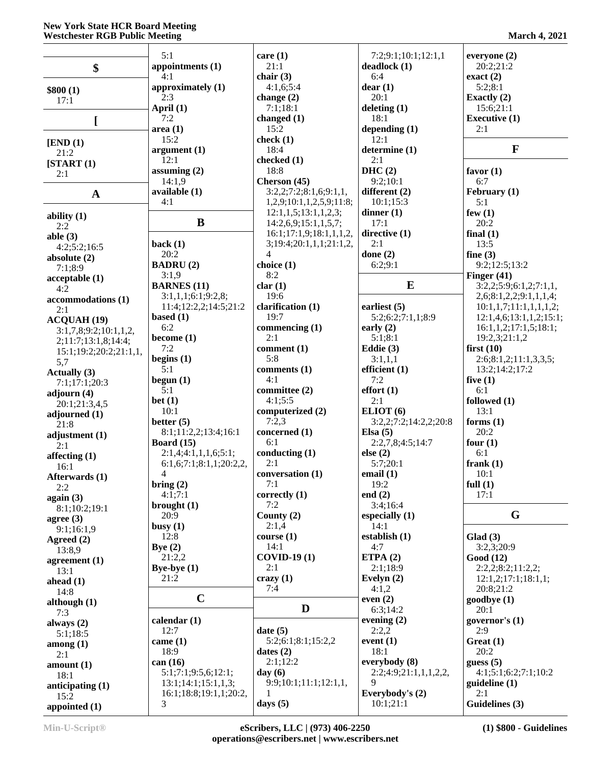#### **New York State HCR Board Meeting Westchester RGB Public Meeting March 4, 2021**

|                        | 5:1                     | care $(1)$               | 7:2;9:1;10:1;12:1,1   | everyone (2)            |
|------------------------|-------------------------|--------------------------|-----------------------|-------------------------|
| $\boldsymbol{\$}$      | appointments (1)        | 21:1                     | deadlock(1)           | 20:2;21:2               |
|                        | 4:1                     | chair $(3)$              | 6:4                   | exact(2)                |
|                        | approximately (1)       | 4:1,6;5:4                | dear(1)               | 5:2;8:1                 |
| \$800(1)               | 2:3                     | change $(2)$             | 20:1                  | Exactly $(2)$           |
| 17:1                   |                         |                          |                       |                         |
|                        | April (1)               | 7:1;18:1                 | deleting $(1)$        | 15:6;21:1               |
| L                      | 7:2                     | changed $(1)$            | 18:1                  | <b>Executive (1)</b>    |
|                        | area(1)                 | 15:2                     | depending $(1)$       | 2:1                     |
| [END (1)]              | 15:2                    | check $(1)$              | 12:1                  |                         |
| 21:2                   | argument(1)             | 18:4                     | determine (1)         | $\mathbf{F}$            |
| [START (1)]            | 12:1                    | checked (1)              | 2:1                   |                         |
| 2:1                    | assuming $(2)$          | 18:8                     | DHC(2)                | favor $(1)$             |
|                        | 14:1,9                  | Cherson (45)             | 9:2;10:1              | 6:7                     |
|                        | available (1)           | 3:2,2;7:2;8:1,6;9:1,1,   | different (2)         | February $(1)$          |
| $\mathbf{A}$           | 4:1                     | 1,2,9;10:1,1,2,5,9;11:8; | 10:1;15:3             | 5:1                     |
|                        |                         |                          |                       |                         |
| ability $(1)$          |                         | 12:1,1,5;13:1,1,2,3;     | dinner $(1)$          | few $(1)$               |
| 2:2                    | $\bf{B}$                | 14:2,6,9;15:1,1,5,7;     | 17:1                  | 20:2                    |
| able $(3)$             |                         | 16:1;17:1,9;18:1,1,1,2,  | directive (1)         | final $(1)$             |
| 4:2;5:2;16:5           | back(1)                 | 3;19:4;20:1,1,1;21:1,2,  | 2:1                   | 13:5                    |
| absolute $(2)$         | 20:2                    | $\overline{4}$           | done $(2)$            | fine $(3)$              |
| 7:1;8:9                | <b>BADRU(2)</b>         | choice (1)               | 6:2;9:1               | 9:2;12:5;13:2           |
|                        | 3:1,9                   | 8:2                      |                       | Finger $(41)$           |
| acceptable(1)          | <b>BARNES</b> (11)      | char(1)                  | E                     | 3:2,2;5:9;6:1,2;7:1,1,  |
| $4:\bar{2}$            |                         | 19:6                     |                       |                         |
| accommodations (1)     | 3:1,1,1;6:1;9:2,8;      |                          |                       | 2,6;8:1,2,2;9:1,1,1,4;  |
| 2:1                    | 11:4;12:2,2;14:5;21:2   | clarification (1)        | earliest $(5)$        | 10:1,1,7;11:1,1,1,1,2;  |
| <b>ACQUAH (19)</b>     | based $(1)$             | 19:7                     | 5:2;6:2;7:1,1;8:9     | 12:1,4,6;13:1,1,2;15:1; |
| 3:1,7,8;9:2;10:1,1,2,  | 6:2                     | commencing (1)           | early $(2)$           | 16:1,1,2;17:1,5;18:1;   |
| 2;11:7;13:1,8;14:4;    | become (1)              | 2:1                      | 5:1;8:1               | 19:2,3;21:1,2           |
|                        | 7:2                     | comment (1)              | Eddie $(3)$           | first $(10)$            |
| 15:1;19:2;20:2;21:1,1, | begins $(1)$            | 5:8                      | 3:1,1,1               | 2:6;8:1,2;11:1,3,3,5;   |
| 5,7                    | 5:1                     | comments (1)             | efficient $(1)$       | 13:2;14:2;17:2          |
| Actually (3)           |                         |                          |                       |                         |
| 7:1;17:1;20:3          | begun $(1)$             | 4:1                      | 7:2                   | five $(1)$              |
| adjourn (4)            | 5:1                     | committee (2)            | effort(1)             | 6:1                     |
| 20:1;21:3,4,5          | bet(1)                  | 4:1;5:5                  | 2:1                   | followed (1)            |
| adjourned $(1)$        | 10:1                    | computerized (2)         | ELIOT <sub>(6)</sub>  | 13:1                    |
| 21:8                   | better $(5)$            | 7:2,3                    | 3:2,2;7:2;14:2,2;20:8 | forms $(1)$             |
|                        | 8:1;11:2,2;13:4;16:1    | concerned (1)            | Elsa $(5)$            | 20:2                    |
| adjustment $(1)$       | Board $(15)$            | 6:1                      | 2:2,7,8;4:5;14:7      | four $(1)$              |
| 2:1                    | 2:1,4;4:1,1,1,6;5:1;    | conducting (1)           | else $(2)$            | 6:1                     |
| affecting (1)          | 6:1,6;7:1;8:1,1;20:2,2, | 2:1                      | 5:7;20:1              | frank $(1)$             |
| 16:1                   |                         |                          |                       |                         |
| Afterwards (1)         | 4                       | conversation (1)         | email $(1)$           | 10:1                    |
| 2:2                    | bring $(2)$             | 7:1                      | 19:2                  | full $(1)$              |
| again $(3)$            | 4:1;7:1                 | correctly (1)            | end $(2)$             | 17:1                    |
| 8:1;10:2;19:1          | brought $(1)$           | 7:2                      | 3:4;16:4              |                         |
| agree $(3)$            | 20:9                    | County $(2)$             | especially $(1)$      | G                       |
| 9:1;16:1,9             | busy(1)                 | 2:1,4                    | 14:1                  |                         |
|                        | 12:8                    | course(1)                | establish $(1)$       | Glad(3)                 |
| Agreed $(2)$           | Bye $(2)$               | 14:1                     | 4:7                   | 3:2,3:20:9              |
| 13:8,9                 | 21:2,2                  | <b>COVID-19 (1)</b>      | ETPA $(2)$            |                         |
| agreement $(1)$        |                         |                          |                       | Good (12)               |
| 13:1                   | Bye-bye $(1)$           | 2:1                      | 2:1;18:9              | 2:2,2;8:2;11:2,2;       |
| ahead (1)              | 21:2                    | crazy(1)                 | Evelyn $(2)$          | 12:1,2;17:1;18:1,1;     |
| 14:8                   |                         | 7:4                      | 4:1,2                 | 20:8:21:2               |
| although $(1)$         | $\mathbf C$             |                          | even $(2)$            | goodbye (1)             |
| 7:3                    |                         | D                        | 6:3;14:2              | 20:1                    |
|                        | calendar $(1)$          |                          | evening $(2)$         | governor's (1)          |
| always $(2)$           | 12:7                    | date(5)                  | 2:2,2                 | 2:9                     |
| 5:1;18:5               |                         |                          | event $(1)$           |                         |
| among(1)               | came $(1)$              | 5:2;6:1;8:1;15:2,2       |                       | Great(1)                |
| 2:1                    | 18:9                    | dates $(2)$              | 18:1                  | 20:2                    |
| amount(1)              | can(16)                 | 2:1;12:2                 | everybody $(8)$       | guess $(5)$             |
| 18:1                   | 5:1;7:1;9:5,6;12:1;     | day $(6)$                | 2:2;4:9;21:1,1,1,2,2, | 4:1;5:1;6:2;7:1;10:2    |
| anticipating $(1)$     | 13:1;14:1;15:1,1,3;     | 9:9;10:1;11:1;12:1,1,    | 9                     | guideline (1)           |
| 15:2                   | 16:1;18:8;19:1,1;20:2,  |                          | Everybody's (2)       | 2:1                     |
|                        | 3                       | days $(5)$               | 10:1;21:1             | Guidelines (3)          |
| appointed $(1)$        |                         |                          |                       |                         |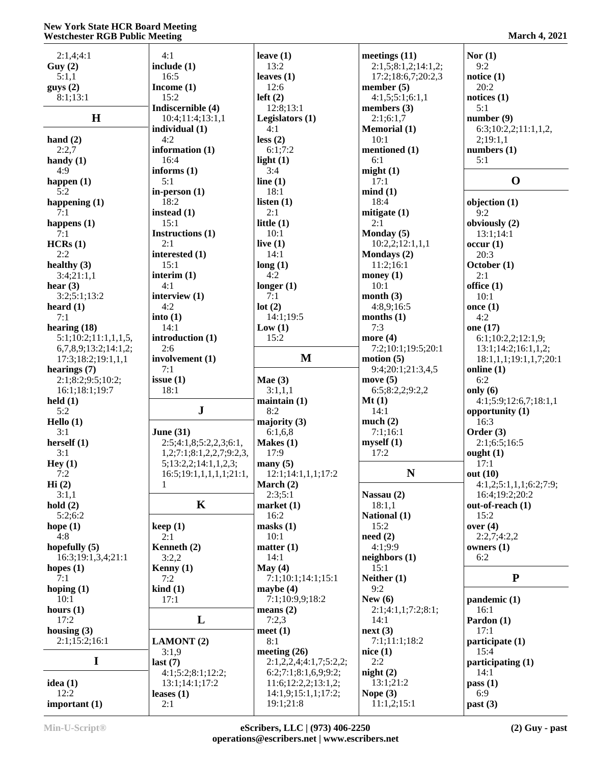# **New York State HCR Board Meeting Westchester RGB Public Meeting**

| 2:1,4;4:1            | 4:1                      | leave $(1)$             | meetings $(11)$     | Nor $(1)$              |
|----------------------|--------------------------|-------------------------|---------------------|------------------------|
| Guy(2)               | include (1)              | 13:2                    | 2:1,5;8:1,2;14:1,2; | 9:2                    |
| 5:1,1                | 16:5                     | leaves $(1)$            | 17:2;18:6,7;20:2,3  | notice $(1)$           |
| gays(2)              | Income $(1)$             | 12:6                    | member $(5)$        | 20:2                   |
| 8:1;13:1             | 15:2                     | left(2)                 | 4:1,5;5:1;6:1,1     | notices $(1)$          |
|                      | Indiscernible (4)        | 12:8;13:1               | members (3)         | 5:1                    |
| H                    | 10:4;11:4;13:1,1         | Legislators (1)         | 2:1;6:1,7           | number(9)              |
|                      | individual $(1)$         | 4:1                     |                     | 6:3;10:2,2;11:1,1,2,   |
|                      |                          |                         | <b>Memorial</b> (1) |                        |
| hand $(2)$           | 4:2                      | less (2)                | 10:1                | 2;19:1,1               |
| 2:2,7                | information (1)          | 6:1;7:2                 | mentioned (1)       | numbers $(1)$          |
| handy $(1)$          | 16:4                     | light $(1)$             | 6:1                 | 5:1                    |
| 4:9                  | informs $(1)$            | 3:4                     | might(1)            |                        |
| happen $(1)$         | 5:1                      | line $(1)$              | 17:1                | $\mathbf 0$            |
| 5:2                  | in-person $(1)$          | 18:1                    | mind(1)             |                        |
| happening $(1)$      | 18:2                     | listen $(1)$            | 18:4                | objection $(1)$        |
| 7:1                  | instead $(1)$            | 2:1                     | mitigate $(1)$      | 9:2                    |
|                      | 15:1                     | little $(1)$            | 2:1                 |                        |
| happens (1)          |                          |                         |                     | obviously (2)          |
| 7:1                  | Instructions (1)         | 10:1                    | Monday (5)          | 13:1;14:1              |
| HCRs(1)              | 2:1                      | live $(1)$              | 10:2,2;12:1,1,1     | occur(1)               |
| 2:2                  | interested (1)           | 14:1                    | Mondays (2)         | 20:3                   |
| healthy $(3)$        | 15:1                     | long(1)                 | 11:2;16:1           | October (1)            |
| 3:4;21:1,1           | interim $(1)$            | 4:2                     | money $(1)$         | 2:1                    |
| hear $(3)$           | 4:1                      | longer $(1)$            | 10:1                | office $(1)$           |
| 3:2;5:1;13:2         | interview (1)            | 7:1                     | month $(3)$         | 10:1                   |
| heard $(1)$          | 4:2                      | lot(2)                  | 4:8,9;16:5          | once $(1)$             |
| 7:1                  | into $(1)$               | 14:1:19:5               | months $(1)$        | 4:2                    |
|                      |                          |                         |                     |                        |
| hearing $(18)$       | 14:1                     | Low(1)                  | 7:3                 | one (17)               |
| 5:1;10:2;11:1,1,1,5, | introduction (1)         | 15:2                    | more $(4)$          | 6:1;10:2,2;12:1,9;     |
| 6,7,8,9;13:2;14:1,2; | 2:6                      |                         | 7:2;10:1;19:5;20:1  | 13:1;14:2;16:1,1,2;    |
| 17:3;18:2;19:1,1,1   | involvement (1)          | M                       | motion $(5)$        | 18:1,1,1;19:1,1,7;20:1 |
| hearings $(7)$       | 7:1                      |                         | 9:4;20:1;21:3,4,5   | online $(1)$           |
| 2:1;8:2;9:5;10:2;    | issue(1)                 | Mae $(3)$               | move $(5)$          | 6:2                    |
|                      |                          |                         |                     |                        |
|                      |                          |                         |                     |                        |
| 16:1;18:1;19:7       | 18:1                     | 3:1,1,1                 | 6:5;8:2,2;9:2,2     | only $(6)$             |
| $\text{held}(1)$     |                          | $main(1)$               | Mt(1)               | 4:1;5:9;12:6,7;18:1,1  |
| 5:2                  | ${\bf J}$                | 8:2                     | 14:1                | opportunity $(1)$      |
| Hello $(1)$          |                          | majority $(3)$          | much(2)             | 16:3                   |
| 3:1                  | June $(31)$              | 6:1,6,8                 | 7:1;16:1            | Order $(3)$            |
| herself $(1)$        | 2:5;4:1,8;5:2,2,3;6:1,   | Makes $(1)$             | myself(1)           | 2:1;6:5;16:5           |
| 3:1                  | 1,2;7:1;8:1,2,2,7;9:2,3, | 17:9                    | 17:2                | ought $(1)$            |
| Hey(1)               | 5;13:2,2;14:1,1,2,3;     | $\text{many}(5)$        |                     | 17:1                   |
| 7:2                  | 16:5;19:1,1,1,1,1;21:1,  | 12:1;14:1,1,1;17:2      | ${\bf N}$           | out $(10)$             |
|                      |                          |                         |                     |                        |
| Hi(2)                | $\mathbf{1}$             | March $(2)$             |                     | 4:1,2;5:1,1,1;6:2;7:9; |
| 3:1,1                |                          | 2:3;5:1                 | Nassau (2)          | 16:4;19:2;20:2         |
| hold(2)              | $\mathbf K$              | market(1)               | 18:1,1              | out-of-reach (1)       |
| 5:2;6:2              |                          | 16:2                    | National (1)        | 15:2                   |
| hope $(1)$           | keep(1)                  | $\text{masks}$ (1)      | 15:2                | over $(4)$             |
| 4:8                  | 2:1                      | 10:1                    | need(2)             | 2:2,7;4:2,2            |
| hopefully $(5)$      | Kenneth $(2)$            | matter $(1)$            | 4:1;9:9             | owners $(1)$           |
| 16:3;19:1,3,4;21:1   | 3:2,2                    | 14:1                    | neighbors (1)       | 6:2                    |
| hopes $(1)$          | Kenny (1)                | May $(4)$               | 15:1                |                        |
| 7:1                  | 7:2                      | 7:1;10:1;14:1;15:1      | Neither $(1)$       | ${\bf P}$              |
| hoping $(1)$         |                          | maybe $(4)$             | 9:2                 |                        |
|                      | $\operatorname{kind}(1)$ |                         |                     |                        |
| 10:1                 | 17:1                     | 7:1;10:9,9;18:2         | New $(6)$           | pandemic (1)           |
| hours $(1)$          |                          | means $(2)$             | 2:1;4:1,1;7:2;8:1;  | 16:1                   |
| 17:2                 | L                        | 7:2,3                   | 14:1                | Pardon (1)             |
| housing $(3)$        |                          | meet $(1)$              | next(3)             | 17:1                   |
| 2:1;15:2;16:1        | <b>LAMONT</b> (2)        | 8:1                     | 7:1;11:1;18:2       | participate (1)        |
|                      | 3:1,9                    | meeting $(26)$          | nice(1)             | 15:4                   |
| I                    | last(7)                  | 2:1,2,2,4;4:1,7;5:2,2;  | 2:2                 | participating (1)      |
|                      | 4:1;5:2;8:1;12:2;        | 6:2;7:1;8:1,6,9;9:2;    | night(2)            | 14:1                   |
| idea $(1)$           | 13:1;14:1;17:2           | 11:6; 12:2, 2; 13:1, 2; | 13:1;21:2           | pass(1)                |
| 12:2                 |                          | 14:1,9;15:1,1;17:2;     | Nope $(3)$          | 6:9                    |
| important (1)        | leases $(1)$<br>2:1      | 19:1;21:8               | 11:1,2;15:1         | past (3)               |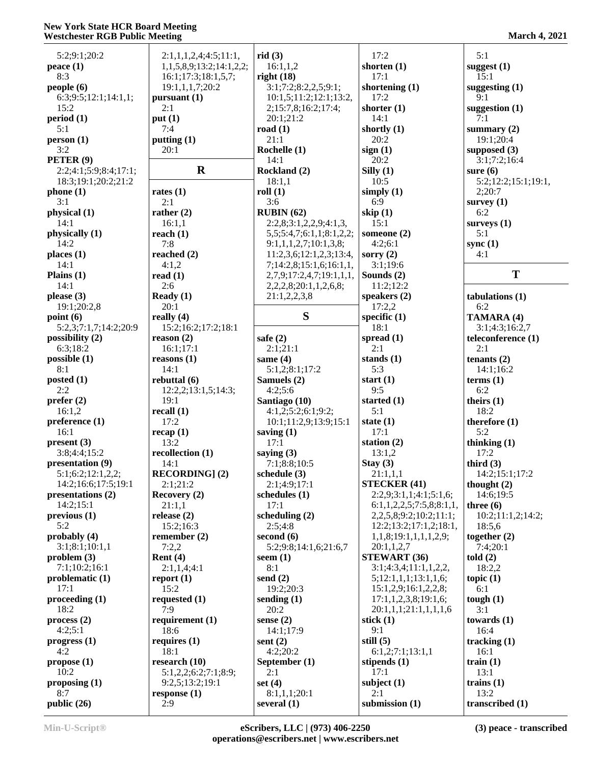# **New York State HCR Board Meeting Westchester RGB Public Meeting March 4, 2021**

| 5:2;9:1;20:2              | 2:1,1,1,2,4;4:5;11:1,    | rid(3)                   | 17:2                         | 5:1                 |
|---------------------------|--------------------------|--------------------------|------------------------------|---------------------|
| peace $(1)$               | 1,1,5,8,9;13:2;14:1,2,2; | 16:1,1,2                 | shorten $(1)$                | suggest $(1)$       |
| 8:3                       | 16:1;17:3;18:1,5,7;      | right $(18)$             | 17:1                         | 15:1                |
|                           |                          |                          |                              |                     |
| people(6)                 | 19:1,1,1,7;20:2          | 3:1;7:2;8:2,2,5;9:1;     | shortening $(1)$             | suggesting $(1)$    |
| 6:3;9:5;12:1;14:1,1;      | pursuant $(1)$           | 10:1,5;11:2;12:1;13:2,   | 17:2                         | 9:1                 |
| 15:2                      | 2:1                      | 2;15:7,8;16:2;17:4;      | shorter $(1)$                | suggestion $(1)$    |
|                           |                          |                          |                              |                     |
| period(1)                 | put(1)                   | 20:1:21:2                | 14:1                         | 7:1                 |
| 5:1                       | 7:4                      | road $(1)$               | shortly $(1)$                | summary $(2)$       |
|                           |                          | 21:1                     | 20:2                         |                     |
| person (1)                | putting $(1)$            |                          |                              | 19:1;20:4           |
| 3:2                       | 20:1                     | Rochelle (1)             | sign(1)                      | supposed $(3)$      |
| PETER <sub>(9)</sub>      |                          | 14:1                     | 20:2                         | 3:1;7:2;16:4        |
|                           |                          |                          |                              |                     |
| 2:2;4:1;5:9;8:4;17:1;     | $\mathbf R$              | Rockland (2)             | Silly $(1)$                  | sure $(6)$          |
| 18:3;19:1;20:2;21:2       |                          | 18:1,1                   | 10:5                         | 5:2;12:2;15:1;19:1, |
|                           | rates $(1)$              |                          |                              |                     |
| phone(1)                  |                          | roll(1)                  | simply $(1)$                 | 2;20:7              |
| 3:1                       | 2:1                      | 3:6                      | 6:9                          | survey $(1)$        |
| physical (1)              | rather $(2)$             | RUBIN(62)                | skip $(1)$                   | 6:2                 |
|                           |                          |                          |                              |                     |
| 14:1                      | 16:1,1                   | 2:2,8;3:1,2,2,9;4:1,3    | 15:1                         | surveys $(1)$       |
| physically (1)            | reach $(1)$              | 5,5;5;4,7;6;1,1;8;1,2,2; | someone (2)                  | 5:1                 |
| 14:2                      | 7:8                      |                          | 4:2;6:1                      |                     |
|                           |                          | 9:1,1,1,2,7;10:1,3,8;    |                              | sync $(1)$          |
| places $(1)$              | reached $(2)$            | 11:2,3,6;12:1,2,3;13:4,  | sorry $(2)$                  | 4:1                 |
| 14:1                      | 4:1,2                    | 7;14:2,8;15:1,6;16:1,1,  | 3:1;19:6                     |                     |
|                           |                          |                          |                              | T                   |
| Plains $(1)$              | read $(1)$               | 2,7,9;17:2,4,7;19:1,1,1, | Sounds (2)                   |                     |
| 14:1                      | 2:6                      | 2,2,2,8;20:1,1,2,6,8;    | 11:2;12:2                    |                     |
| please $(3)$              | Ready $(1)$              | 21:1,2,2,3,8             | speakers (2)                 | tabulations (1)     |
|                           |                          |                          |                              |                     |
| 19:1;20:2,8               | 20:1                     |                          | 17:2,2                       | 6:2                 |
| point(6)                  | really $(4)$             | S                        | specific $(1)$               | TAMARA (4)          |
|                           |                          |                          |                              |                     |
| 5:2,3;7:1,7;14:2;20:9     | 15:2;16:2;17:2;18:1      |                          | 18:1                         | 3:1;4:3;16:2,7      |
| possibility (2)           | reason (2)               | safe $(2)$               | spread $(1)$                 | teleconference (1)  |
| 6:3;18:2                  | 16:1;17:1                | 2:1;21:1                 | 2:1                          | 2:1                 |
|                           |                          |                          |                              |                     |
| possible(1)               | reasons(1)               | same $(4)$               | stands $(1)$                 | tenants $(2)$       |
| 8:1                       | 14:1                     | 5:1,2;8:1;17:2           | 5:3                          | 14:1;16:2           |
|                           |                          |                          |                              |                     |
| posted $(1)$              | rebuttal (6)             | Samuels (2)              | start $(1)$                  | terms $(1)$         |
| 2:2                       | 12:2,2;13:1,5;14:3;      | 4:2;5:6                  | 9:5                          | 6:2                 |
| prefer $(2)$              | 19:1                     | Santiago (10)            | started $(1)$                | theirs $(1)$        |
|                           |                          |                          |                              |                     |
| 16:1,2                    | recall $(1)$             | 4:1,2;5:2;6:1;9:2;       | 5:1                          | 18:2                |
| preference <sub>(1)</sub> | 17:2                     | 10:1;11:2,9;13:9;15:1    | state $(1)$                  | therefore $(1)$     |
| 16:1                      | recap(1)                 |                          | 17:1                         | 5:2                 |
|                           |                          | saving $(1)$             |                              |                     |
| present(3)                | 13:2                     | 17:1                     | station $(2)$                | thinking $(1)$      |
| 3:8;4:4;15:2              | recollection (1)         | saying $(3)$             | 13:1,2                       | 17:2                |
|                           |                          |                          |                              |                     |
| presentation (9)          | 14:1                     | 7:1;8:8;10:5             | Stay $(3)$                   | third $(3)$         |
| 5:1;6:2;12:1,2,2;         | <b>RECORDING</b> ] (2)   | schedule $(3)$           | 21:1,1,1                     | 14:2;15:1;17:2      |
| 14:2;16:6;17:5;19:1       | 2:1;21:2                 | 2:1;4:9;17:1             | <b>STECKER (41)</b>          | thought $(2)$       |
|                           |                          |                          |                              |                     |
| presentations (2)         | Recovery (2)             | schedules (1)            | 2:2,9;3:1,1;4:1;5:1,6;       | 14:6:19:5           |
| 14:2;15:1                 | 21:1,1                   | 17:1                     | 6:1,1,2,2,5;7:5,8;8:1,1,     | three $(6)$         |
| previous <sub>1</sub>     | release $(2)$            | scheduling $(2)$         | 2,2,5,8;9:2;10:2;11:1;       | 10:2;11:1,2;14:2;   |
|                           |                          |                          |                              |                     |
| 5:2                       | 15:2;16:3                | 2:5;4:8                  | 12:2;13:2;17:1,2;18:1,       | 18:5,6              |
| probably $(4)$            | remember $(2)$           | second $(6)$             | 1,1,8;19:1,1,1,1,2,9;        | together $(2)$      |
|                           |                          |                          |                              |                     |
| 3:1;8:1;10:1,1            | 7:2,2                    | 5:2;9:8;14:1,6;21:6,7    | 20:1,1,2,7                   | 7:4;20:1            |
| problem(3)                | Rent $(4)$               | seem $(1)$               | <b>STEWART (36)</b>          | told(2)             |
| 7:1;10:2;16:1             | 2:1,1,4;4:1              | 8:1                      | 3:1;4:3,4;11:1,1,2,2,        | 18:2,2              |
|                           |                          |                          |                              |                     |
| problematic $(1)$         | report $(1)$             | send $(2)$               | 5; 12: 1, 1, 1; 13: 1, 1, 6; | topic $(1)$         |
| 17:1                      | 15:2                     | 19:2;20:3                | 15:1,2,9;16:1,2,2,8;         | 6:1                 |
| procedureding(1)          | requested $(1)$          | sending $(1)$            | 17:1,1,2,3,8;19:1,6;         | tough $(1)$         |
|                           |                          |                          |                              |                     |
| 18:2                      | 7:9                      | 20:2                     | 20:1,1,1;21:1,1,1,1,6        | 3:1                 |
| process(2)                | requirement $(1)$        | sense $(2)$              | stick $(1)$                  | towards $(1)$       |
|                           |                          |                          | 9:1                          |                     |
| 4:2;5:1                   | 18:6                     | 14:1;17:9                |                              | 16:4                |
| progress <sub>1</sub> )   | requires $(1)$           | sent $(2)$               | still $(5)$                  | tracking $(1)$      |
| 4:2                       | 18:1                     | 4:2;20:2                 | 6:1,2;7:1;13:1,1             | 16:1                |
|                           |                          |                          |                              |                     |
| propose(1)                | research $(10)$          | September (1)            | stipends $(1)$               | train $(1)$         |
| 10:2                      | 5:1,2,2;6:2;7:1;8:9;     | 2:1                      | 17:1                         | 13:1                |
|                           |                          |                          | subject $(1)$                | trains $(1)$        |
| proposing $(1)$           | 9:2,5;13:2;19:1          | set $(4)$                |                              |                     |
| 8:7                       | response(1)              | 8:1,1,1;20:1             | 2:1                          | 13:2                |
| public (26)               | 2:9                      | several $(1)$            | submission (1)               | transcribed (1)     |
|                           |                          |                          |                              |                     |